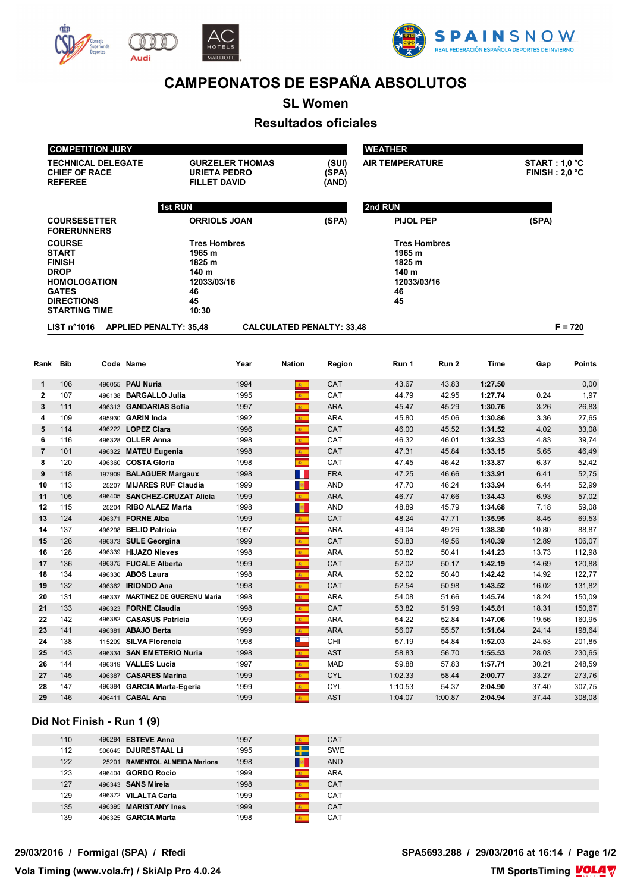

Audi





# **CAMPEONATOS DE ESPAÑA ABSOLUTOS**

**SL Women**

## **Resultados oficiales**

|                | <b>COMPETITION JURY</b>                                                                                                                           |       |                                                                                      |                        |                             |                                  | <b>WEATHER</b>                                                              |                |                    |                                        |                  |  |
|----------------|---------------------------------------------------------------------------------------------------------------------------------------------------|-------|--------------------------------------------------------------------------------------|------------------------|-----------------------------|----------------------------------|-----------------------------------------------------------------------------|----------------|--------------------|----------------------------------------|------------------|--|
|                | <b>TECHNICAL DELEGATE</b><br><b>CHIEF OF RACE</b><br><b>REFEREE</b>                                                                               |       | <b>URIETA PEDRO</b><br><b>FILLET DAVID</b>                                           | <b>GURZELER THOMAS</b> |                             | (SUI)<br>(SPA)<br>(AND)          | <b>AIR TEMPERATURE</b>                                                      |                |                    | <b>START: 1,0 °C</b><br>FINISH: 2,0 °C |                  |  |
|                |                                                                                                                                                   |       | 1st RUN                                                                              |                        |                             |                                  | 2nd RUN                                                                     |                |                    |                                        |                  |  |
|                | <b>COURSESETTER</b><br><b>FORERUNNERS</b>                                                                                                         |       | <b>ORRIOLS JOAN</b>                                                                  |                        |                             | (SPA)                            | PIJOL PEP                                                                   |                |                    | (SPA)                                  |                  |  |
|                | <b>COURSE</b><br><b>START</b><br><b>FINISH</b><br><b>DROP</b><br><b>HOMOLOGATION</b><br><b>GATES</b><br><b>DIRECTIONS</b><br><b>STARTING TIME</b> |       | <b>Tres Hombres</b><br>1965 m<br>1825 m<br>140 m<br>12033/03/16<br>46<br>45<br>10:30 |                        |                             |                                  | <b>Tres Hombres</b><br>1965 m<br>1825 m<br>140 m<br>12033/03/16<br>46<br>45 |                |                    |                                        |                  |  |
|                | LIST $n^{\circ}1016$                                                                                                                              |       | <b>APPLIED PENALTY: 35,48</b>                                                        |                        |                             | <b>CALCULATED PENALTY: 33,48</b> |                                                                             |                |                    |                                        | $F = 720$        |  |
| Rank           | Bib                                                                                                                                               |       | Code Name                                                                            | Year                   | <b>Nation</b>               | Region                           | Run 1                                                                       | Run 2          | Time               | Gap                                    | <b>Points</b>    |  |
| 1              | 106                                                                                                                                               |       | 496055 PAU Nuria                                                                     | 1994                   | 案                           | <b>CAT</b>                       | 43.67                                                                       | 43.83          | 1:27.50            |                                        | 0,00             |  |
| $\mathbf{2}$   | 107                                                                                                                                               |       | 496138 BARGALLO Julia                                                                | 1995                   | $\mathbf{E}$ .              | CAT                              | 44.79                                                                       | 42.95          | 1:27.74            | 0.24                                   | 1,97             |  |
| 3              | 111                                                                                                                                               |       | 496313 GANDARIAS Sofia                                                               | 1997                   | $\mathbf{A}$                | <b>ARA</b>                       | 45.47                                                                       | 45.29          | 1:30.76            | 3.26                                   | 26,83            |  |
| 4              | 109                                                                                                                                               |       | 495930 GARIN Inda                                                                    | 1992                   | 6.                          | <b>ARA</b>                       | 45.80                                                                       | 45.06          | 1:30.86            | 3.36                                   | 27,65            |  |
| 5              | 114                                                                                                                                               |       | 496222 LOPEZ Clara                                                                   | 1996                   | $\mathbf{A}$                | CAT                              | 46.00                                                                       | 45.52          | 1:31.52            | 4.02                                   | 33,08            |  |
| 6              | 116                                                                                                                                               |       | 496328 OLLER Anna                                                                    | 1998                   | k.                          | CAT                              | 46.32                                                                       | 46.01          | 1:32.33            | 4.83                                   | 39,74            |  |
| $\overline{7}$ | 101                                                                                                                                               |       | 496322 MATEU Eugenia                                                                 | 1998                   | $\mathbf{c}$                | CAT                              | 47.31                                                                       | 45.84          | 1:33.15            | 5.65                                   | 46,49            |  |
| 8              | 120                                                                                                                                               |       | 496360 COSTA Gloria                                                                  | 1998                   | $\mathbf{g}$ .              | CAT                              | 47.45                                                                       | 46.42          | 1:33.87            | 6.37                                   | 52,42            |  |
| 9              | 118                                                                                                                                               |       | 197909 BALAGUER Margaux                                                              | 1998                   | H H                         | <b>FRA</b>                       | 47.25                                                                       | 46.66          | 1:33.91            | 6.41                                   | 52,75            |  |
| 10             | 113                                                                                                                                               | 25207 | <b>MIJARES RUF Claudia</b>                                                           | 1999                   | <b>B</b>                    | <b>AND</b>                       | 47.70                                                                       | 46.24          | 1:33.94            | 6.44                                   | 52,99            |  |
| 11             | 105                                                                                                                                               |       | 496405 SANCHEZ-CRUZAT Alicia                                                         | 1999                   | $\mathbf{g}_{\mathrm{max}}$ | <b>ARA</b>                       | 46.77                                                                       | 47.66          | 1:34.43            | 6.93                                   | 57,02            |  |
| 12             | 115                                                                                                                                               | 25204 | <b>RIBO ALAEZ Marta</b>                                                              | 1998                   | <b>B</b>                    | <b>AND</b>                       | 48.89                                                                       | 45.79          | 1:34.68            | 7.18                                   | 59,08            |  |
| 13             | 124                                                                                                                                               |       | 496371 FORNE Alba                                                                    | 1999                   | 案に                          | CAT                              | 48.24                                                                       | 47.71          | 1:35.95            | 8.45                                   | 69,53            |  |
| 14             | 137                                                                                                                                               |       | 496298 BELIO Patricia                                                                | 1997                   | $\overline{\mathbf{a}}$     | <b>ARA</b>                       | 49.04                                                                       | 49.26          | 1:38.30            | 10.80                                  | 88,87            |  |
| 15             | 126                                                                                                                                               |       | 496373 SULE Georgina                                                                 | 1999                   | 6.                          | CAT                              | 50.83                                                                       | 49.56          | 1:40.39            | 12.89                                  | 106,07           |  |
| 16             | 128                                                                                                                                               |       | 496339 HIJAZO Nieves                                                                 | 1998                   | k.                          | <b>ARA</b>                       | 50.82                                                                       | 50.41          | 1:41.23            | 13.73                                  | 112,98           |  |
| 17             | 136                                                                                                                                               |       | 496375 FUCALE Alberta                                                                | 1999                   | $\mathbf{E}$ .              | CAT                              | 52.02                                                                       | 50.17          | 1:42.19            | 14.69                                  | 120,88           |  |
| 18             | 134                                                                                                                                               |       | 496330 ABOS Laura                                                                    | 1998                   | $\mathbf{g}$                | <b>ARA</b>                       | 52.02                                                                       | 50.40          | 1:42.42            | 14.92                                  | 122,77           |  |
| 19             | 132                                                                                                                                               |       | 496362 IRIONDO Ana                                                                   | 1998                   | <b>B</b>                    | CAT                              | 52.54                                                                       | 50.98          | 1:43.52            | 16.02                                  | 131,82           |  |
| 20             | 131                                                                                                                                               |       | 496337 MARTINEZ DE GUERENU Maria                                                     | 1998                   | 61                          | ARA                              | 54.08                                                                       | 51.66          | 1:45.74            | 18.24                                  | 150,09           |  |
| 21             | 133                                                                                                                                               |       | 496323 FORNE Claudia                                                                 | 1998                   | 图                           | CAT                              | 53.82                                                                       | 51.99          | 1:45.81            | 18.31                                  | 150,67           |  |
| 22             | 142                                                                                                                                               |       | 496382 CASASUS Patricia                                                              | 1999                   |                             | ARA                              | 54.22                                                                       | 52.84          | 1:47.06            | 19.56                                  | 160,95           |  |
| 23             | 141                                                                                                                                               |       | 496381 ABAJO Berta                                                                   | 1999                   | $\Phi_{\rm{m}}$             | <b>ARA</b>                       | 56.07                                                                       | 55.57          | 1:51.64            | 24.14                                  | 198,64           |  |
| 24             | 138                                                                                                                                               |       | 115209 SILVA Florencia                                                               | 1998                   | $\overline{\phantom{a}}$    | CHI                              | 57.19                                                                       | 54.84          | 1:52.03            | 24.53                                  | 201,85           |  |
| 25             | 143<br>144                                                                                                                                        |       | 496334 SAN EMETERIO Nuria<br>496319 VALLES Lucia                                     | 1998<br>1997           | 61                          | <b>AST</b><br>MAD                | 58.83<br>59.88                                                              | 56.70          | 1:55.53            | 28.03<br>30.21                         | 230,65<br>248,59 |  |
| 26<br>27       | 145                                                                                                                                               |       | 496387 CASARES Marina                                                                | 1999                   | $\mathbf{g}$ .              | <b>CYL</b>                       | 1:02.33                                                                     | 57.83          | 1:57.71            |                                        |                  |  |
| 28             | 147                                                                                                                                               |       | 496384 GARCIA Marta-Egeria                                                           | 1999                   | 图<br>$\mathbf{c}$           | <b>CYL</b>                       | 1:10.53                                                                     | 58.44<br>54.37 | 2:00.77<br>2:04.90 | 33.27<br>37.40                         | 273,76<br>307,75 |  |
|                |                                                                                                                                                   |       |                                                                                      |                        |                             |                                  |                                                                             |                |                    |                                        |                  |  |

#### **Did Not Finish - Run 1 (9)**

| 110 | 496284 <b>ESTEVE Anna</b>      | 1997 |   | <b>CAT</b> |  |
|-----|--------------------------------|------|---|------------|--|
| 112 | 506645 DJURESTAAL Li           | 1995 | ┿ | <b>SWE</b> |  |
| 122 | 25201 RAMENTOL ALMEIDA Mariona | 1998 |   | <b>AND</b> |  |
| 123 | 496404 <b>GORDO Rocio</b>      | 1999 |   | <b>ARA</b> |  |
| 127 | 496343 <b>SANS Mireia</b>      | 1998 |   | <b>CAT</b> |  |
| 129 | 496372 VILALTA Carla           | 1999 |   | <b>CAT</b> |  |
| 135 | 496395 MARISTANY Ines          | 1999 |   | <b>CAT</b> |  |
| 139 | 496325 GARCIA Marta            | 1998 |   | <b>CAT</b> |  |

**29/03/2016 / Formigal (SPA) / Rfedi SPA5693.288 / 29/03/2016 at 16:14 / Page 1/2**